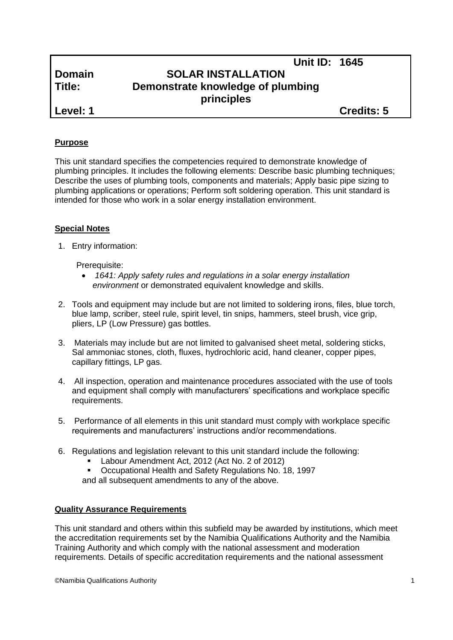|               | <b>Unit ID: 1645</b>                            |                   |
|---------------|-------------------------------------------------|-------------------|
| <b>Domain</b> | <b>SOLAR INSTALLATION</b>                       |                   |
| Title:        | Demonstrate knowledge of plumbing<br>principles |                   |
| Level: 1      |                                                 | <b>Credits: 5</b> |

#### **Purpose**

This unit standard specifies the competencies required to demonstrate knowledge of plumbing principles. It includes the following elements: Describe basic plumbing techniques; Describe the uses of plumbing tools, components and materials; Apply basic pipe sizing to plumbing applications or operations; Perform soft soldering operation. This unit standard is intended for those who work in a solar energy installation environment.

#### **Special Notes**

1. Entry information:

Prerequisite:

- *1641: Apply safety rules and regulations in a solar energy installation environment* or demonstrated equivalent knowledge and skills.
- 2. Tools and equipment may include but are not limited to soldering irons, files, blue torch, blue lamp, scriber, steel rule, spirit level, tin snips, hammers, steel brush, vice grip, pliers, LP (Low Pressure) gas bottles.
- 3. Materials may include but are not limited to galvanised sheet metal, soldering sticks, Sal ammoniac stones, cloth, fluxes, hydrochloric acid, hand cleaner, copper pipes, capillary fittings, LP gas.
- 4. All inspection, operation and maintenance procedures associated with the use of tools and equipment shall comply with manufacturers' specifications and workplace specific requirements.
- 5. Performance of all elements in this unit standard must comply with workplace specific requirements and manufacturers' instructions and/or recommendations.
- 6. Regulations and legislation relevant to this unit standard include the following:
	- Labour Amendment Act, 2012 (Act No. 2 of 2012)
	- Occupational Health and Safety Regulations No. 18, 1997

and all subsequent amendments to any of the above.

#### **Quality Assurance Requirements**

This unit standard and others within this subfield may be awarded by institutions, which meet the accreditation requirements set by the Namibia Qualifications Authority and the Namibia Training Authority and which comply with the national assessment and moderation requirements. Details of specific accreditation requirements and the national assessment

©Namibia Qualifications Authority 1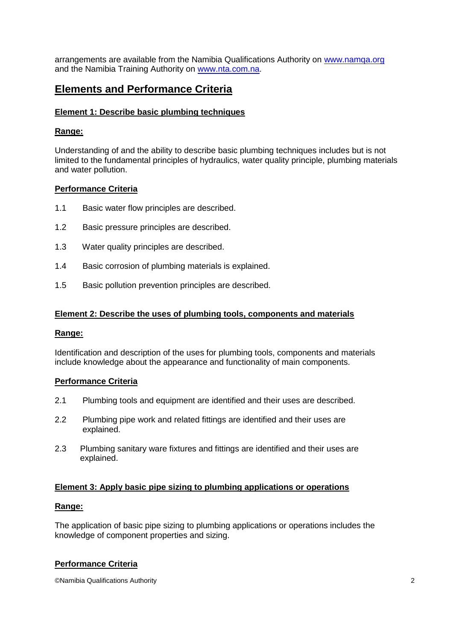arrangements are available from the Namibia Qualifications Authority on [www.namqa.org](http://www.namqa.org/) and the Namibia Training Authority on [www.nta.com.na.](http://www.nta.com.na/)

# **Elements and Performance Criteria**

## **Element 1: Describe basic plumbing techniques**

## **Range:**

Understanding of and the ability to describe basic plumbing techniques includes but is not limited to the fundamental principles of hydraulics, water quality principle, plumbing materials and water pollution.

### **Performance Criteria**

- 1.1 Basic water flow principles are described.
- 1.2 Basic pressure principles are described.
- 1.3 Water quality principles are described.
- 1.4 Basic corrosion of plumbing materials is explained.
- 1.5 Basic pollution prevention principles are described.

### **Element 2: Describe the uses of plumbing tools, components and materials**

### **Range:**

Identification and description of the uses for plumbing tools, components and materials include knowledge about the appearance and functionality of main components.

### **Performance Criteria**

- 2.1 Plumbing tools and equipment are identified and their uses are described.
- 2.2 Plumbing pipe work and related fittings are identified and their uses are explained.
- 2.3 Plumbing sanitary ware fixtures and fittings are identified and their uses are explained.

### **Element 3: Apply basic pipe sizing to plumbing applications or operations**

### **Range:**

The application of basic pipe sizing to plumbing applications or operations includes the knowledge of component properties and sizing.

### **Performance Criteria**

©Namibia Qualifications Authority 2